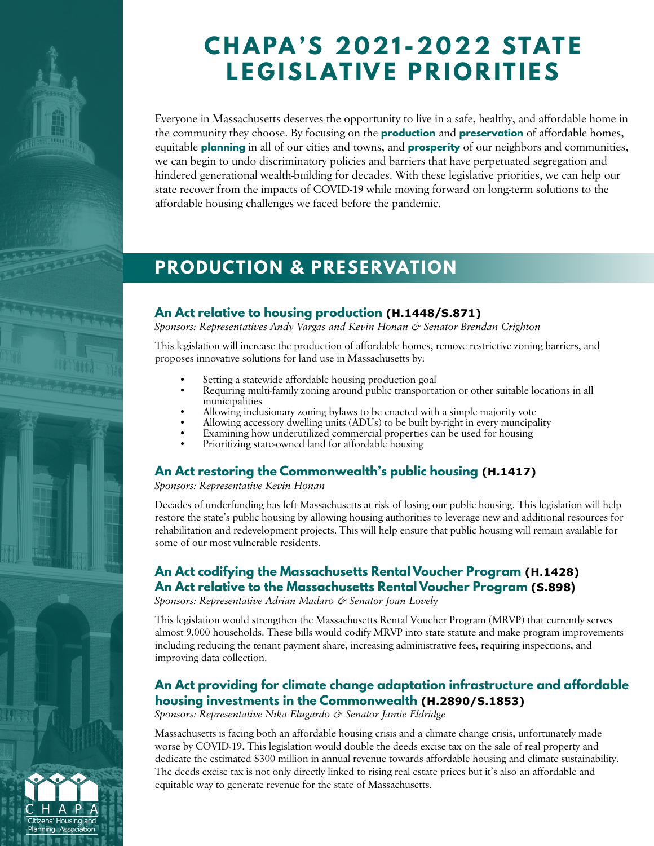

Housing

# **CHAPA'S 2021-2022 STATE LEGISLATIVE PRIORITIES**

Everyone in Massachusetts deserves the opportunity to live in a safe, healthy, and affordable home in the community they choose. By focusing on the **production** and **preservation** of affordable homes, equitable **planning** in all of our cities and towns, and **prosperity** of our neighbors and communities, we can begin to undo discriminatory policies and barriers that have perpetuated segregation and hindered generational wealth-building for decades. With these legislative priorities, we can help our state recover from the impacts of COVID-19 while moving forward on long-term solutions to the affordable housing challenges we faced before the pandemic.

# **PRODUCTION & PRESERVATION**

#### **An Act relative to housing production (H.1448/S.871)**

*Sponsors: Representatives Andy Vargas and Kevin Honan & Senator Brendan Crighton*

This legislation will increase the production of affordable homes, remove restrictive zoning barriers, and proposes innovative solutions for land use in Massachusetts by:

- Setting a statewide affordable housing production goal
- Requiring multi-family zoning around public transportation or other suitable locations in all municipalities
- Allowing inclusionary zoning bylaws to be enacted with a simple majority vote
- Allowing accessory dwelling units (ADUs) to be built by-right in every muncipality
- Examining how underutilized commercial properties can be used for housing
- Prioritizing state-owned land for affordable housing

## **An Act restoring the Commonwealth's public housing (H.1417)**

*Sponsors: Representative Kevin Honan* 

Decades of underfunding has left Massachusetts at risk of losing our public housing. This legislation will help restore the state's public housing by allowing housing authorities to leverage new and additional resources for rehabilitation and redevelopment projects. This will help ensure that public housing will remain available for some of our most vulnerable residents.

### **An Act codifying the Massachusetts Rental Voucher Program (H.1428) An Act relative to the Massachusetts Rental Voucher Program (S.898)**

*Sponsors: Representative Adrian Madaro & Senator Joan Lovely*

This legislation would strengthen the Massachusetts Rental Voucher Program (MRVP) that currently serves almost 9,000 households. These bills would codify MRVP into state statute and make program improvements including reducing the tenant payment share, increasing administrative fees, requiring inspections, and improving data collection.

### **An Act providing for climate change adaptation infrastructure and affordable housing investments in the Commonwealth (H.2890/S.1853)**

*Sponsors: Representative Nika Elugardo & Senator Jamie Eldridge*

Massachusetts is facing both an affordable housing crisis and a climate change crisis, unfortunately made worse by COVID-19. This legislation would double the deeds excise tax on the sale of real property and dedicate the estimated \$300 million in annual revenue towards affordable housing and climate sustainability. The deeds excise tax is not only directly linked to rising real estate prices but it's also an affordable and equitable way to generate revenue for the state of Massachusetts.